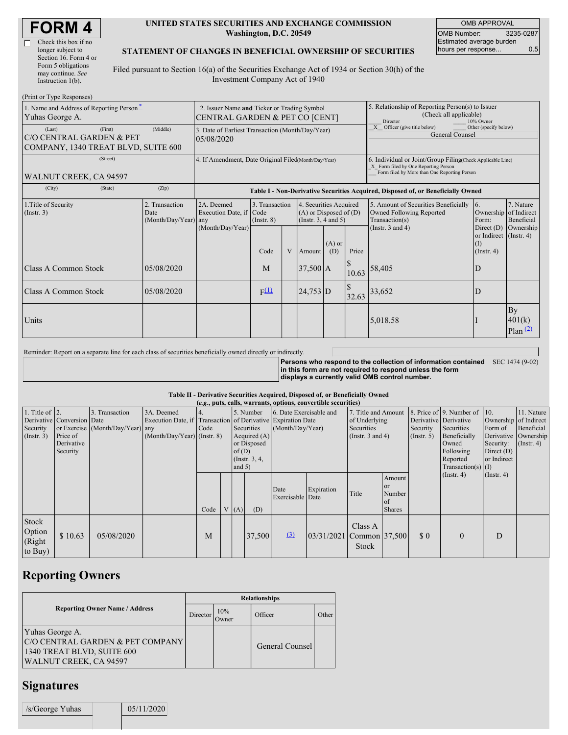| <b>FORM4</b> |
|--------------|
|--------------|

Г

#### **UNITED STATES SECURITIES AND EXCHANGE COMMISSION Washington, D.C. 20549**

OMB APPROVAL OMB Number: 3235-0287 Estimated average burden hours per response... 0.5

#### **STATEMENT OF CHANGES IN BENEFICIAL OWNERSHIP OF SECURITIES**

Filed pursuant to Section 16(a) of the Securities Exchange Act of 1934 or Section 30(h) of the Investment Company Act of 1940

| (Print or Type Responses)                                                 |                                                                               |                                                |                                                                                  |                                           |   |                                                                                        |                                                                                                                                                    |                                                                                 |                                                                                                             |                                                                                                            |                                      |
|---------------------------------------------------------------------------|-------------------------------------------------------------------------------|------------------------------------------------|----------------------------------------------------------------------------------|-------------------------------------------|---|----------------------------------------------------------------------------------------|----------------------------------------------------------------------------------------------------------------------------------------------------|---------------------------------------------------------------------------------|-------------------------------------------------------------------------------------------------------------|------------------------------------------------------------------------------------------------------------|--------------------------------------|
| 1. Name and Address of Reporting Person-<br>Yuhas George A.               | 2. Issuer Name and Ticker or Trading Symbol<br>CENTRAL GARDEN & PET CO [CENT] |                                                |                                                                                  |                                           |   |                                                                                        | 5. Relationship of Reporting Person(s) to Issuer<br>(Check all applicable)<br>10% Owner<br>Director                                                |                                                                                 |                                                                                                             |                                                                                                            |                                      |
| (Last)<br>C/O CENTRAL GARDEN & PET<br>COMPANY, 1340 TREAT BLVD, SUITE 600 | (First)                                                                       | (Middle)                                       | 3. Date of Earliest Transaction (Month/Day/Year)<br>05/08/2020                   |                                           |   |                                                                                        |                                                                                                                                                    | Other (specify below)<br>X Officer (give title below)<br><b>General Counsel</b> |                                                                                                             |                                                                                                            |                                      |
| WALNUT CREEK, CA 94597                                                    | 4. If Amendment, Date Original Filed Month/Day/Year)                          |                                                |                                                                                  |                                           |   |                                                                                        | 6. Individual or Joint/Group Filing(Check Applicable Line)<br>X Form filed by One Reporting Person<br>Form filed by More than One Reporting Person |                                                                                 |                                                                                                             |                                                                                                            |                                      |
| (City)                                                                    | (State)                                                                       | (Zip)                                          | Table I - Non-Derivative Securities Acquired, Disposed of, or Beneficially Owned |                                           |   |                                                                                        |                                                                                                                                                    |                                                                                 |                                                                                                             |                                                                                                            |                                      |
| 1. Title of Security<br>(Insert. 3)                                       |                                                                               | 2. Transaction<br>Date<br>(Month/Day/Year) any | 2A. Deemed<br>Execution Date, if Code<br>(Month/Day/Year)                        | 3. Transaction<br>$($ Instr. $8)$<br>Code | V | 4. Securities Acquired<br>$(A)$ or Disposed of $(D)$<br>(Insert. 3, 4 and 5)<br>Amount | $(A)$ or<br>(D)                                                                                                                                    | Price                                                                           | 5. Amount of Securities Beneficially<br>Owned Following Reported<br>Transaction(s)<br>(Instr. $3$ and $4$ ) | 16.<br>Ownership of Indirect<br>Form:<br>Direct $(D)$<br>or Indirect (Instr. 4)<br>(I)<br>$($ Instr. 4 $)$ | 7. Nature<br>Beneficial<br>Ownership |
| <b>Class A Common Stock</b>                                               |                                                                               | 05/08/2020                                     |                                                                                  | M                                         |   | $37,500$ A                                                                             |                                                                                                                                                    | 10.63                                                                           | 58,405                                                                                                      | ID                                                                                                         |                                      |
| Class A Common Stock                                                      |                                                                               | 05/08/2020                                     |                                                                                  | $F^{(1)}$                                 |   | $24,753$ D                                                                             |                                                                                                                                                    | \$<br>32.63                                                                     | 33,652                                                                                                      | D                                                                                                          |                                      |
| Units                                                                     |                                                                               |                                                |                                                                                  |                                           |   |                                                                                        |                                                                                                                                                    |                                                                                 | 5,018.58                                                                                                    |                                                                                                            | By<br>401(k)<br>Plan $(2)$           |

Reminder: Report on a separate line for each class of securities beneficially owned directly or indirectly.

**Persons who respond to the collection of information contained** SEC 1474 (9-02) **in this form are not required to respond unless the form displays a currently valid OMB control number.**

#### **Table II - Derivative Securities Acquired, Disposed of, or Beneficially Owned**

| (e.g., puts, calls, warrants, options, convertible securities) |                                                                  |                                                    |                                                                                                             |      |  |                      |                                                                             |                                             |                          |                                                                                    |                                                             |                              |                                                                                                                                           |                                                                                     |                                                                   |
|----------------------------------------------------------------|------------------------------------------------------------------|----------------------------------------------------|-------------------------------------------------------------------------------------------------------------|------|--|----------------------|-----------------------------------------------------------------------------|---------------------------------------------|--------------------------|------------------------------------------------------------------------------------|-------------------------------------------------------------|------------------------------|-------------------------------------------------------------------------------------------------------------------------------------------|-------------------------------------------------------------------------------------|-------------------------------------------------------------------|
| 1. Title of $ 2$ .<br>Security<br>(Insert. 3)                  | Derivative Conversion Date<br>Price of<br>Derivative<br>Security | 3. Transaction<br>or Exercise (Month/Day/Year) any | 3A. Deemed<br>Execution Date, if Transaction of Derivative Expiration Date<br>$(Month/Day/Year)$ (Instr. 8) | Code |  | of $(D)$<br>and $5)$ | 5. Number<br>Securities<br>Acquired $(A)$<br>or Disposed<br>(Instr. $3, 4,$ | 6. Date Exercisable and<br>(Month/Day/Year) |                          | 7. Title and Amount<br>of Underlying<br><b>Securities</b><br>(Instr. $3$ and $4$ ) |                                                             | Security<br>$($ Instr. 5 $)$ | 8. Price of 9. Number of<br>Derivative Derivative<br>Securities<br>Beneficially<br>Owned<br>Following<br>Reported<br>Transaction(s) $(I)$ | 10.<br>Ownership of Indirect<br>Form of<br>Security:<br>Direct $(D)$<br>or Indirect | 11. Nature<br>Beneficial<br>Derivative Ownership<br>$($ Instr. 4) |
|                                                                |                                                                  |                                                    |                                                                                                             | Code |  | V(A)                 | (D)                                                                         | Date<br>Exercisable Date                    | Expiration               | Title                                                                              | Amount<br><b>or</b><br>Number<br><b>of</b><br><b>Shares</b> |                              | $($ Instr. 4 $)$                                                                                                                          | $($ Instr. 4 $)$                                                                    |                                                                   |
| Stock<br>Option<br>(Right<br>to Buy)                           | \$10.63                                                          | 05/08/2020                                         |                                                                                                             | M    |  |                      | 37,500                                                                      | $\Omega$                                    | 03/31/2021 Common 37,500 | Class A<br>Stock                                                                   |                                                             | $\Omega$                     | $\theta$                                                                                                                                  | D                                                                                   |                                                                   |

# **Reporting Owners**

|                                                                                                             | <b>Relationships</b> |              |                 |       |  |  |  |  |  |
|-------------------------------------------------------------------------------------------------------------|----------------------|--------------|-----------------|-------|--|--|--|--|--|
| <b>Reporting Owner Name / Address</b>                                                                       | Director             | 10%<br>Owner | Officer         | Other |  |  |  |  |  |
| Yuhas George A.<br>C/O CENTRAL GARDEN & PET COMPANY<br>1340 TREAT BLVD, SUITE 600<br>WALNUT CREEK, CA 94597 |                      |              | General Counsel |       |  |  |  |  |  |

### **Signatures**

 $/s/George Yuhas$  05/11/2020